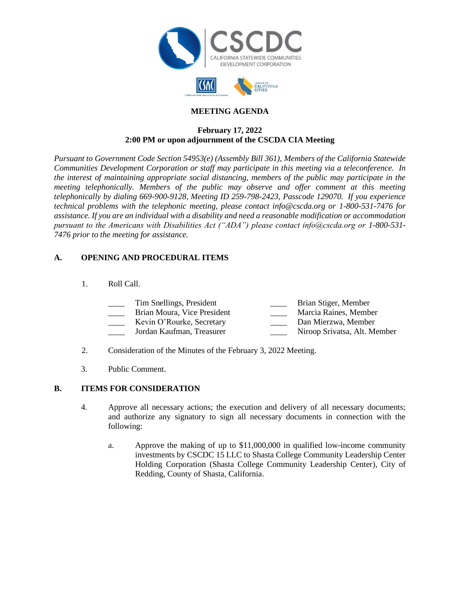



## **MEETING AGENDA**

### **February 17, 2022 2:00 PM or upon adjournment of the CSCDA CIA Meeting**

*Pursuant to Government Code Section 54953(e) (Assembly Bill 361), Members of the California Statewide Communities Development Corporation or staff may participate in this meeting via a teleconference. In the interest of maintaining appropriate social distancing, members of the public may participate in the meeting telephonically. Members of the public may observe and offer comment at this meeting telephonically by dialing 669-900-9128, Meeting ID 259-798-2423, Passcode 129070. If you experience technical problems with the telephonic meeting, please contact info@cscda.org or 1-800-531-7476 for assistance. If you are an individual with a disability and need a reasonable modification or accommodation pursuant to the Americans with Disabilities Act ("ADA") please contact info@cscda.org or 1-800-531- 7476 prior to the meeting for assistance.*

## **A. OPENING AND PROCEDURAL ITEMS**

1. Roll Call.

| Tim Snellings, President    | Brian Stiger, Member         |
|-----------------------------|------------------------------|
| Brian Moura, Vice President | Marcia Raines, Member        |
| Kevin O'Rourke, Secretary   | Dan Mierzwa, Member          |
| Jordan Kaufman, Treasurer   | Niroop Srivatsa, Alt. Member |
|                             |                              |

2. Consideration of the Minutes of the February 3, 2022 Meeting.

3. Public Comment.

### **B. ITEMS FOR CONSIDERATION**

- 4. Approve all necessary actions; the execution and delivery of all necessary documents; and authorize any signatory to sign all necessary documents in connection with the following:
	- a. Approve the making of up to \$11,000,000 in qualified low-income community investments by CSCDC 15 LLC to Shasta College Community Leadership Center Holding Corporation (Shasta College Community Leadership Center), City of Redding, County of Shasta, California.